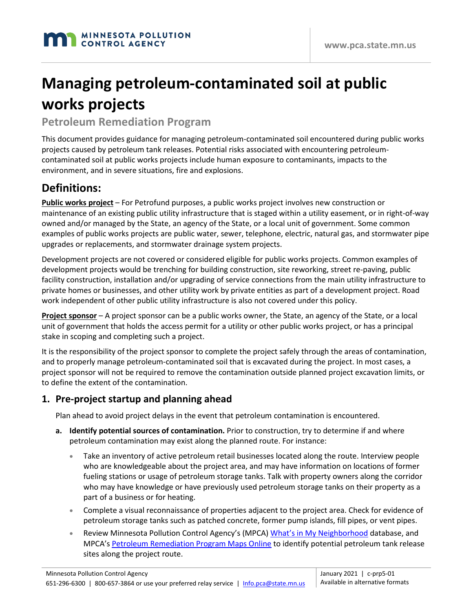# **Managing petroleum-contaminated soil at public works projects**

#### **Petroleum Remediation Program**

This document provides guidance for managing petroleum-contaminated soil encountered during public works projects caused by petroleum tank releases. Potential risks associated with encountering petroleumcontaminated soil at public works projects include human exposure to contaminants, impacts to the environment, and in severe situations, fire and explosions.

## **Definitions:**

**Public works project** – Fo[r Petrofund](https://mn.gov/commerce/industries/fuel/petrofund/) purposes, a public works project involves new construction or maintenance of an existing public utility infrastructure that is staged within a utility easement, or in right-of-way owned and/or managed by the State, an agency of the State, or a local unit of government. Some common examples of public works projects are public water, sewer, telephone, electric, natural gas, and stormwater pipe upgrades or replacements, and stormwater drainage system projects.

Development projects are not covered or considered eligible for public works projects. Common examples of development projects would be trenching for building construction, site reworking, street re-paving, public facility construction, installation and/or upgrading of service connections from the main utility infrastructure to private homes or businesses, and other utility work by private entities as part of a development project. Road work independent of other public utility infrastructure is also not covered under this policy.

**Project sponsor** – A project sponsor can be a public works owner, the State, an agency of the State, or a local unit of government that holds the access permit for a utility or other public works project, or has a principal stake in scoping and completing such a project.

It is the responsibility of the project sponsor to complete the project safely through the areas of contamination, and to properly manage petroleum-contaminated soil that is excavated during the project. In most cases, a project sponsor will not be required to remove the contamination outside planned project excavation limits, or to define the extent of the contamination.

#### **1. Pre-project startup and planning ahead**

Plan ahead to avoid project delays in the event that petroleum contamination is encountered.

- **a. Identify potential sources of contamination.** Prior to construction, try to determine if and where petroleum contamination may exist along the planned route. For instance:
	- Take an inventory of active petroleum retail businesses located along the route. Interview people who are knowledgeable about the project area, and may have information on locations of former fueling stations or usage of petroleum storage tanks. Talk with property owners along the corridor who may have knowledge or have previously used petroleum storage tanks on their property as a part of a business or for heating.
	- Complete a visual reconnaissance of properties adjacent to the project area. Check for evidence of petroleum storage tanks such as patched concrete, former pump islands, fill pipes, or vent pipes.
	- Review Minnesota Pollution Control Agency's (MPCA) [What's in My Neighborhood](http://www.pca.state.mn.us/wimn) database, and MPCA's [Petroleum Remediation Program Maps Online](https://www.arcgis.com/apps/webappviewer/index.html?id=8cb48bd1696e4426834b80aaa18be468) to identify potential petroleum tank release sites along the project route.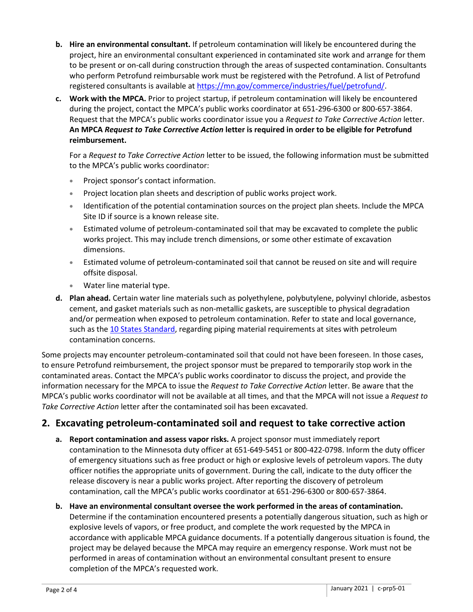- **b. Hire an environmental consultant.** If petroleum contamination will likely be encountered during the project, hire an environmental consultant experienced in contaminated site work and arrange for them to be present or on-call during construction through the areas of suspected contamination. Consultants who perform Petrofund reimbursable work must be registered with the Petrofund. A list of Petrofund registered consultants is available at [https://mn.gov/commerce/industries/fuel/petrofund/.](https://mn.gov/commerce/industries/fuel/petrofund/)
- **c. Work with the MPCA.** Prior to project startup, if petroleum contamination will likely be encountered during the project, contact the MPCA's public works coordinator at 651-296-6300 or 800-657-3864. Request that the MPCA's public works coordinator issue you a *Request to Take Corrective Action* letter. **An MPCA** *Request to Take Corrective Action* **letter is required in order to be eligible for Petrofund reimbursement.**

For a *Request to Take Corrective Action* letter to be issued, the following information must be submitted to the MPCA's public works coordinator:

- Project sponsor's contact information.
- Project location plan sheets and description of public works project work.
- Identification of the potential contamination sources on the project plan sheets. Include the MPCA Site ID if source is a known release site.
- Estimated volume of petroleum-contaminated soil that may be excavated to complete the public works project. This may include trench dimensions, or some other estimate of excavation dimensions.
- Estimated volume of petroleum-contaminated soil that cannot be reused on site and will require offsite disposal.
- Water line material type.
- **d. Plan ahead.** Certain water line materials such as polyethylene, polybutylene, polyvinyl chloride, asbestos cement, and gasket materials such as non-metallic gaskets, are susceptible to physical degradation and/or permeation when exposed to petroleum contamination. Refer to state and local governance, such as th[e 10 States Standard,](https://www.health.state.mn.us/communities/environment/water/tenstates/standards.html) regarding piping material requirements at sites with petroleum contamination concerns.

Some projects may encounter petroleum-contaminated soil that could not have been foreseen. In those cases, to ensure Petrofund reimbursement, the project sponsor must be prepared to temporarily stop work in the contaminated areas. Contact the MPCA's public works coordinator to discuss the project, and provide the information necessary for the MPCA to issue the *Request to Take Corrective Action* letter. Be aware that the MPCA's public works coordinator will not be available at all times, and that the MPCA will not issue a *Request to Take Corrective Action* letter after the contaminated soil has been excavated.

#### **2. Excavating petroleum-contaminated soil and request to take corrective action**

- **a. Report contamination and assess vapor risks.** A project sponsor must immediately report contamination to the Minnesota duty officer at 651-649-5451 or 800-422-0798. Inform the duty officer of emergency situations such as free product or high or explosive levels of petroleum vapors. The duty officer notifies the appropriate units of government. During the call, indicate to the duty officer the release discovery is near a public works project. After reporting the discovery of petroleum contamination, call the MPCA's public works coordinator at 651-296-6300 or 800-657-3864.
- **b. Have an environmental consultant oversee the work performed in the areas of contamination.** Determine if the contamination encountered presents a potentially dangerous situation, such as high or explosive levels of vapors, or free product, and complete the work requested by the MPCA in accordance with applicable MPCA guidance documents. If a potentially dangerous situation is found, the project may be delayed because the MPCA may require an emergency response. Work must not be performed in areas of contamination without an environmental consultant present to ensure completion of the MPCA's requested work.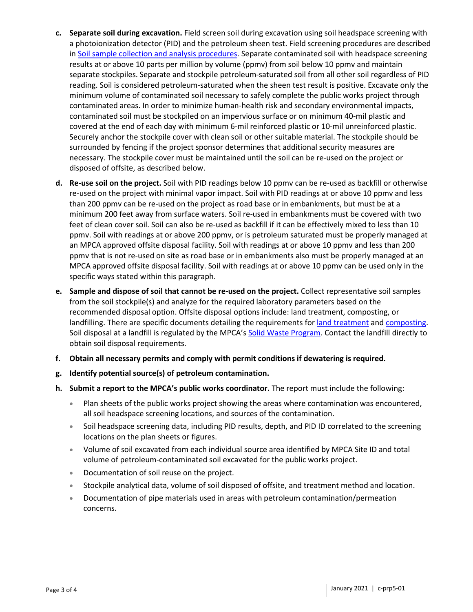- **c. Separate soil during excavation.** Field screen soil during excavation using soil headspace screening with a photoionization detector (PID) and the petroleum sheen test. Field screening procedures are described in [Soil sample collection and analysis procedures.](http://www.pca.state.mn.us/index.php/view-document.html?gid=3025) Separate contaminated soil with headspace screening results at or above 10 parts per million by volume (ppmv) from soil below 10 ppmv and maintain separate stockpiles. Separate and stockpile petroleum-saturated soil from all other soil regardless of PID reading. Soil is considered petroleum-saturated when the sheen test result is positive. Excavate only the minimum volume of contaminated soil necessary to safely complete the public works project through contaminated areas. In order to minimize human-health risk and secondary environmental impacts, contaminated soil must be stockpiled on an impervious surface or on minimum 40-mil plastic and covered at the end of each day with minimum 6-mil reinforced plastic or 10-mil unreinforced plastic. Securely anchor the stockpile cover with clean soil or other suitable material. The stockpile should be surrounded by fencing if the project sponsor determines that additional security measures are necessary. The stockpile cover must be maintained until the soil can be re-used on the project or disposed of offsite, as described below.
- **d. Re-use soil on the project.** Soil with PID readings below 10 ppmv can be re-used as backfill or otherwise re-used on the project with minimal vapor impact. Soil with PID readings at or above 10 ppmv and less than 200 ppmv can be re-used on the project as road base or in embankments, but must be at a minimum 200 feet away from surface waters. Soil re-used in embankments must be covered with two feet of clean cover soil. Soil can also be re-used as backfill if it can be effectively mixed to less than 10 ppmv. Soil with readings at or above 200 ppmv, or is petroleum saturated must be properly managed at an MPCA approved offsite disposal facility. Soil with readings at or above 10 ppmv and less than 200 ppmv that is not re-used on site as road base or in embankments also must be properly managed at an MPCA approved offsite disposal facility. Soil with readings at or above 10 ppmv can be used only in the specific ways stated within this paragraph.
- **e. Sample and dispose of soil that cannot be re-used on the project.** Collect representative soil samples from the soil stockpile(s) and analyze for the required laboratory parameters based on the recommended disposal option. Offsite disposal options include: land treatment, composting, or landfilling. There are specific documents detailing the requirements for [land treatment](http://www.pca.state.mn.us/index.php/view-document.html?gid=2996) an[d composting.](http://www.pca.state.mn.us/index.php/view-document.html?gid=3011) Soil disposal at a landfill is regulated by the MPCA's [Solid Waste Program.](http://www.pca.state.mn.us/index.php/waste/waste-and-cleanup/waste-management/solid-waste/index.html) Contact the landfill directly to obtain soil disposal requirements.
- **f. Obtain all necessary permits and comply with permit conditions if dewatering is required.**
- **g. Identify potential source(s) of petroleum contamination.**
- **h. Submit a report to the MPCA's public works coordinator.** The report must include the following:
	- Plan sheets of the public works project showing the areas where contamination was encountered, all soil headspace screening locations, and sources of the contamination.
	- Soil headspace screening data, including PID results, depth, and PID ID correlated to the screening locations on the plan sheets or figures.
	- Volume of soil excavated from each individual source area identified by MPCA Site ID and total volume of petroleum-contaminated soil excavated for the public works project.
	- Documentation of soil reuse on the project.
	- Stockpile analytical data, volume of soil disposed of offsite, and treatment method and location.
	- Documentation of pipe materials used in areas with petroleum contamination/permeation concerns.